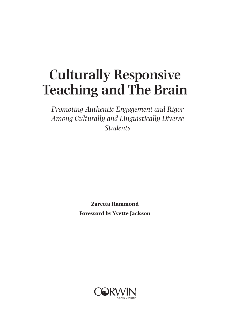# **Culturally Responsive Teaching and The Brain**

*Promoting Authentic Engagement and Rigor Among Culturally and Linguistically Diverse Students*

> **Zaretta Hammond Foreword by Yvette Jackson**

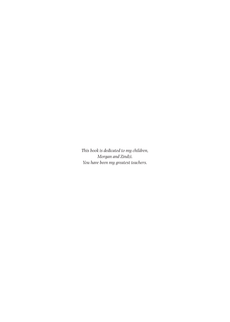*This book is dedicated to my children, Morgan and Zindzi. You have been my greatest teachers.*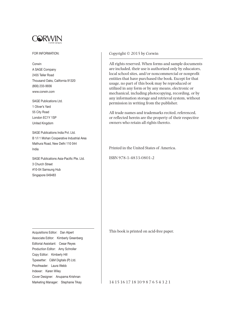

#### FOR INFORMATION:

Corwin A SAGE Company 2455 Teller Road Thousand Oaks, California 91320 (800) 233-9936 www.corwin.com

SAGE Publications Ltd. 1 Oliver's Yard 55 City Road London EC1Y 1SP United Kingdom

SAGE Publications India Pvt. Ltd. B 1/I 1 Mohan Cooperative Industrial Area Mathura Road, New Delhi 110 044 India

SAGE Publications Asia-Pacific Pte. Ltd. 3 Church Street #10-04 Samsung Hub Singapore 049483

Acquisitions Editor: Dan Alpert Associate Editor: Kimberly Greenberg Editorial Assistant: Cesar Reyes Production Editor: Amy Schroller Copy Editor: Kimberly Hill Typesetter: C&M Digitals (P) Ltd. Proofreader: Laura Webb Indexer: Karen Wiley Cover Designer: Anupama Krishnan Marketing Manager: Stephanie Trkay

### Copyright  $@$  2015 by Corwin

All rights reserved. When forms and sample documents are included, their use is authorized only by educators, local school sites, and/or noncommercial or nonprofit entities that have purchased the book. Except for that usage, no part of this book may be reproduced or utilized in any form or by any means, electronic or mechanical, including photocopying, recording, or by any information storage and retrieval system, without permission in writing from the publisher.

All trade names and trademarks recited, referenced, or reflected herein are the property of their respective owners who retain all rights thereto.

Printed in the United States of America.

ISBN 978-1-4833-0801-2

This book is printed on acid-free paper.

14 15 16 17 18 10 9 8 7 6 5 4 3 2 1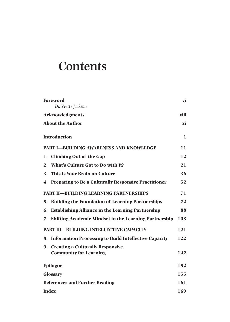# **Contents**

| <b>Foreword</b><br>Dr. Yvette Jackson                    | vi   |
|----------------------------------------------------------|------|
| <b>Acknowledgments</b>                                   | viii |
| <b>About the Author</b>                                  | хi   |
| <b>Introduction</b>                                      | 1    |
| <b>PART I-BUILDING AWARENESS AND KNOWLEDGE</b>           | 11   |
| 1. Climbing Out of the Gap                               | 12   |
| 2. What's Culture Got to Do with It?                     | 21   |
| This Is Your Brain on Culture<br>$\mathbf{3}_{1}$        | 36   |
| 4. Preparing to Be a Culturally Responsive Practitioner  | 52   |
| <b>PART II-BUILDING LEARNING PARTNERSHIPS</b>            | 71   |
| 5. Building the Foundation of Learning Partnerships      | 72   |
| 6. Establishing Alliance in the Learning Partnership     | 88   |
| 7. Shifting Academic Mindset in the Learning Partnership | 108  |
| <b>PART III—BUILDING INTELLECTIVE CAPACITY</b>           | 121  |
| 8. Information Processing to Build Intellective Capacity | 122  |
| <b>Creating a Culturally Responsive</b><br>9.            |      |
| <b>Community for Learning</b>                            | 142  |
| <b>Epilogue</b>                                          | 152  |
| <b>Glossary</b>                                          | 155  |
| <b>References and Further Reading</b>                    | 161  |
| <b>Index</b>                                             | 169  |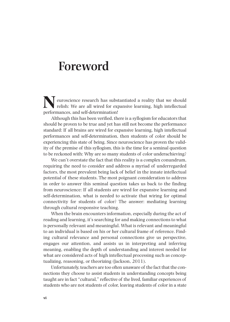### **Foreword**

**N**euroscience research has substantiated a reality that we should relish: We are all wired for expansive learning, high intellectual performances, and self-determination!

Although this has been verified, there is a syllogism for educators that should be proven to be true and yet has still not become the performance standard: If all brains are wired for expansive learning, high intellectual performances and self-determination, then students of color should be experiencing this state of being. Since neuroscience has proven the validity of the premise of this syllogism, this is the time for a seminal question to be reckoned with: Why are so many students of color underachieving?

We can't overstate the fact that this reality is a complex conundrum, requiring the need to consider and address a myriad of underregarded factors, the most prevalent being lack of belief in the innate intellectual potential of these students. The most poignant consideration to address in order to answer this seminal question takes us back to the finding from neuroscience: If all students are wired for expansive learning and self-determination, what is needed to activate that wiring for optimal connectivity for students of color? The answer: mediating learning through cultural responsive teaching.

When the brain encounters information, especially during the act of reading and learning, it's searching for and making connections to what is personally relevant and meaningful. What is relevant and meaningful to an individual is based on his or her cultural frame of reference. Finding cultural relevance and personal connections give us perspective, engages our attention, and assists us in interpreting and inferring meaning, enabling the depth of understanding and interest needed for what are considered acts of high intellectual processing such as conceptualizing, reasoning, or theorizing (Jackson, 2011).

Unfortunately, teachers are too often unaware of the fact that the connections they choose to assist students in understanding concepts being taught are in fact "cultural," reflective of the lived, familiar experiences of students who are not students of color, leaving students of color in a state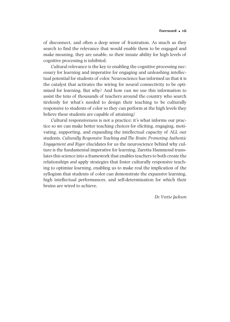of disconnect, and often a deep sense of frustration. As much as they search to find the relevance that would enable them to be engaged and make meaning, they are unable, so their innate ability for high levels of cognitive processing is inhibited.

Cultural relevance is the key to enabling the cognitive processing necessary for learning and imperative for engaging and unleashing intellectual potential for students of color. Neuroscience has informed us that it is the catalyst that activates the wiring for neural connectivity to be optimized for learning. But why? And how can we use this information to assist the tens of thousands of teachers around the country who search tirelessly for what's needed to design their teaching to be culturally responsive to students of color so they can perform at the high levels they believe these students are capable of attaining?

Cultural responsiveness is not a practice; it's what informs our practice so we can make better teaching choices for eliciting, engaging, motivating, supporting, and expanding the intellectual capacity of ALL our students. *Culturally Responsive Teaching and The Brain: Promoting Authentic Engagement and Rigor* elucidates for us the neuroscience behind why culture is the fundamental imperative for learning. Zaretta Hammond translates this science into a framework that enables teachers to both create the relationships *and* apply strategies that foster culturally responsive teaching to optimize learning, enabling us to make real the implication of the syllogism that students of color can demonstrate the expansive learning, high intellectual performances, and self-determination for which their brains are wired to achieve.

*Dr. Yvette Jackson*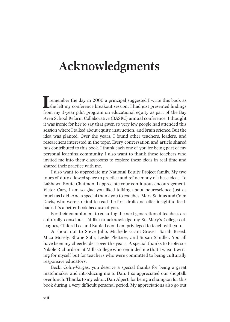# **Acknowledgments**

**I** remember the day in 2000 a principal suggested I write this book as she left my conference breakout session. I had just presented findings from my 3-year pilot program on educational equity as part of the Bay Area School Reform Collaborative (BASRC) annual conference. I thought it was ironic for her to say that given so very few people had attended this session where I talked about equity, instruction, and brain science. But the idea was planted. Over the years, I found other teachers, leaders, and researchers interested in the topic. Every conversation and article shared has contributed to this book. I thank each one of you for being part of my personal learning community. I also want to thank those teachers who invited me into their classrooms to explore these ideas in real time and shared their practice with me.

I also want to appreciate my National Equity Project family. My two tours of duty allowed space to practice and refine many of these ideas. To LaShawn Route-Chatmon, I appreciate your continuous encouragement. Victor Cary, I am so glad you liked talking about neuroscience just as much as I did. And a special thank you to coaches, Mark Salinas and Colm Davis, who were so kind to read the first draft and offer insightful feedback. It's a better book because of you.

For their commitment to ensuring the next generation of teachers are culturally conscious, I'd like to acknowledge my St. Mary's College colleagues, Clifford Lee and Rania Leon. I am privileged to teach with you.

A shout out to Steve Jubb, Michelle Grant-Groves, Sarah Breed, Mica Mosely, Shane Safir, Leslie Plettner, and Susan Sandler. You all have been my cheerleaders over the years. A special thanks to Professor Nikole Richardson at Mills College who reminded me that I wasn't writing for myself but for teachers who were committed to being culturally responsive educators.

Becki Cohn-Vargas, you deserve a special thanks for being a great matchmaker and introducing me to Dan. I so appreciated our shoptalk over lunch. Thanks to my editor, Dan Alpert, for being a champion for this book during a very difficult personal period. My appreciations also go out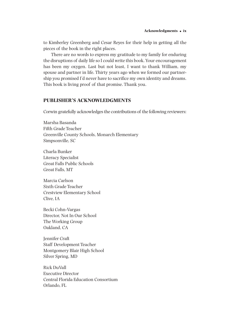to Kimberley Greenberg and Cesar Reyes for their help in getting all the pieces of the book in the right places.

There are no words to express my gratitude to my family for enduring the disruptions of daily life so I could write this book. Your encouragement has been my oxygen. Last but not least, I want to thank William, my spouse and partner in life. Thirty years ago when we formed our partnership you promised I'd never have to sacrifice my own identity and dreams. This book is living proof of that promise. Thank you.

### **PUBLISHER'S ACKNOWLEDGMENTS**

Corwin gratefully acknowledges the contributions of the following reviewers:

Marsha Basanda Fifth Grade Teacher Greenville County Schools, Monarch Elementary Simpsonville, SC

Charla Bunker Literacy Specialist Great Falls Public Schools Great Falls, MT

Marcia Carlson Sixth Grade Teacher Crestview Elementary School Clive, IA

Becki Cohn-Vargas Director, Not In Our School The Working Group Oakland, CA

Jennifer Craft Staff Development Teacher Montgomery Blair High School Silver Spring, MD

Rick DuVall Executive Director Central Florida Education Consortium Orlando, FL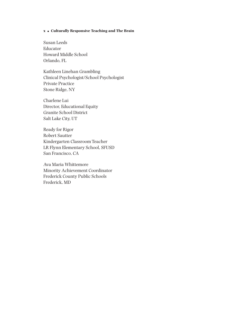### **x** • **Culturally Responsive Teaching and The Brain**

Susan Leeds Educator Howard Middle School Orlando, FL

Kathleen Linehan Grambling Clinical Psychologist/School Psychologist Private Practice Stone Ridge, NY

Charlene Lui Director, Educational Equity Granite School District Salt Lake City, UT

Ready for Rigor Robert Sautter Kindergarten Classroom Teacher LR Flynn Elementary School, SFUSD San Francisco, CA

Ava Maria Whittemore Minority Achievement Coordinator Frederick County Public Schools Frederick, MD